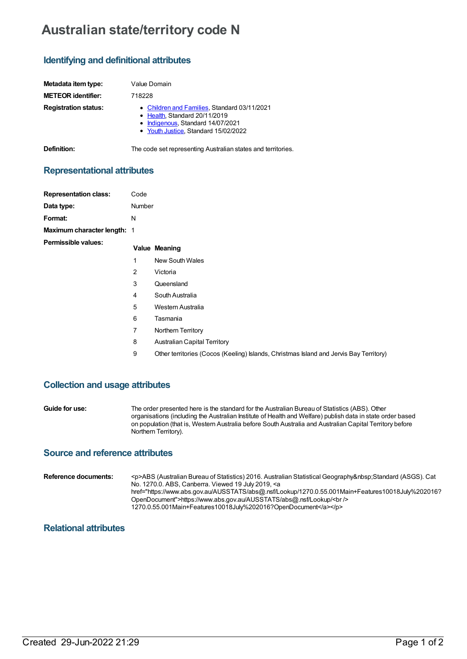# **Australian state/territory code N**

# **Identifying and definitional attributes**

| Metadata item type:         | Value Domain                                                                                                                                              |
|-----------------------------|-----------------------------------------------------------------------------------------------------------------------------------------------------------|
| <b>METEOR identifier:</b>   | 718228                                                                                                                                                    |
| <b>Registration status:</b> | • Children and Families, Standard 03/11/2021<br>• Health Standard 20/11/2019<br>• Indigenous, Standard 14/07/2021<br>• Youth Justice, Standard 15/02/2022 |
| Definition:                 | The code set representing Australian states and territories.                                                                                              |

## **Representational attributes**

| <b>Representation class:</b>       | Code   |                                     |
|------------------------------------|--------|-------------------------------------|
| Data type:                         | Number |                                     |
| Format:                            | N      |                                     |
| <b>Maximum character length: 1</b> |        |                                     |
| Permissible values:                |        | <b>Value Meaning</b>                |
|                                    | 1      | New South Wales                     |
|                                    | 2      | Victoria                            |
|                                    | 3      | Queensland                          |
|                                    | 4      | South Australia                     |
|                                    | 5      | Western Australia                   |
|                                    | 6      | Tasmania                            |
|                                    | 7      | Northern Territory                  |
|                                    | 8      | <b>Australian Capital Territory</b> |
|                                    |        |                                     |

9 Other territories (Cocos (Keeling) Islands, Christmas Island and Jervis Bay Territory)

#### **Collection and usage attributes**

**Guide for use:** The order presented here is the standard for the Australian Bureau of Statistics (ABS). Other organisations (including the Australian Institute of Health and Welfare) publish data in state order based on population (that is, Western Australia before South Australia and Australian Capital Territory before Northern Territory).

#### **Source and reference attributes**

| Reference documents: | sp>ABS (Australian Bureau of Statistics) 2016. Australian Statistical Geography  Standard (ASGS). Cat |
|----------------------|-------------------------------------------------------------------------------------------------------|
|                      | No. 1270.0. ABS, Canberra. Viewed 19 July 2019, <a< td=""></a<>                                       |
|                      | href="https://www.abs.gov.au/AUSSTATS/abs@.nsf/Lookup/1270.0.55.001Main+Features10018July%202016?     |
|                      | OpenDocument">https://www.abs.gov.au/AUSSTATS/abs@.nsf/Lookup/<br>                                    |
|                      | 1270.0.55.001Main+Features10018July%202016?OpenDocument                                               |

## **Relational attributes**